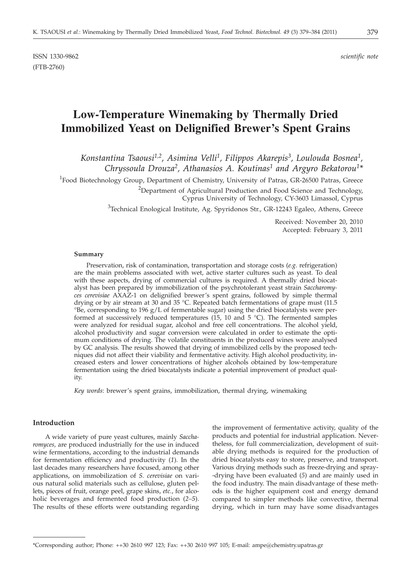ISSN 1330-9862 *scientific note* (FTB-2760)

# **Low-Temperature Winemaking by Thermally Dried Immobilized Yeast on Delignified Brewer's Spent Grains**

*Konstantina Tsaousi1,2, Asimina Velli1, Filippos Akarepis3, Loulouda Bosnea1, Chryssoula Drouza2, Athanasios A. Koutinas1 and Argyro Bekatorou1\**

<sup>1</sup>Food Biotechnology Group, Department of Chemistry, University of Patras, GR-26500 Patras, Greece

<sup>2</sup>Department of Agricultural Production and Food Science and Technology,

Cyprus University of Technology, CY-3603 Limassol, Cyprus

<sup>3</sup>Technical Enological Institute, Ag. Spyridonos Str., GR-12243 Egaleo, Athens, Greece

Received: November 20, 2010 Accepted: February 3, 2011

#### **Summary**

Preservation, risk of contamination, transportation and storage costs (*e.g.* refrigeration) are the main problems associated with wet, active starter cultures such as yeast. To deal with these aspects, drying of commercial cultures is required. A thermally dried biocatalyst has been prepared by immobilization of the psychrotolerant yeast strain *Saccharomyces cerevisiae* AXAZ-1 on delignified brewer's spent grains, followed by simple thermal drying or by air stream at 30 and 35 °C. Repeated batch fermentations of grape must (11.5 °Be, corresponding to 196 g/L of fermentable sugar) using the dried biocatalysts were performed at successively reduced temperatures (15, 10 and 5  $^{\circ}$ C). The fermented samples were analyzed for residual sugar, alcohol and free cell concentrations. The alcohol yield, alcohol productivity and sugar conversion were calculated in order to estimate the optimum conditions of drying. The volatile constituents in the produced wines were analysed by GC analysis. The results showed that drying of immobilized cells by the proposed techniques did not affect their viability and fermentative activity. High alcohol productivity, increased esters and lower concentrations of higher alcohols obtained by low-temperature fermentation using the dried biocatalysts indicate a potential improvement of product quality.

*Key words*: brewer's spent grains, immobilization, thermal drying, winemaking

## **Introduction**

A wide variety of pure yeast cultures, mainly *Saccharomyces,* are produced industrially for the use in induced wine fermentations, according to the industrial demands for fermentation efficiency and productivity (*1*). In the last decades many researchers have focused, among other applications, on immobilization of *S. cerevisiae* on various natural solid materials such as cellulose, gluten pellets, pieces of fruit, orange peel, grape skins, *etc.*, for alcoholic beverages and fermented food production (*2–5*). The results of these efforts were outstanding regarding

the improvement of fermentative activity, quality of the products and potential for industrial application. Nevertheless, for full commercialization, development of suitable drying methods is required for the production of dried biocatalysts easy to store, preserve, and transport. Various drying methods such as freeze-drying and spray- -drying have been evaluated (*5*) and are mainly used in the food industry. The main disadvantage of these methods is the higher equipment cost and energy demand compared to simpler methods like convective, thermal drying, which in turn may have some disadvantages

<sup>\*</sup>Corresponding author; Phone: ++30 2610 997 123; Fax: ++30 2610 997 105; E-mail: ampe@chemistry.upatras.gr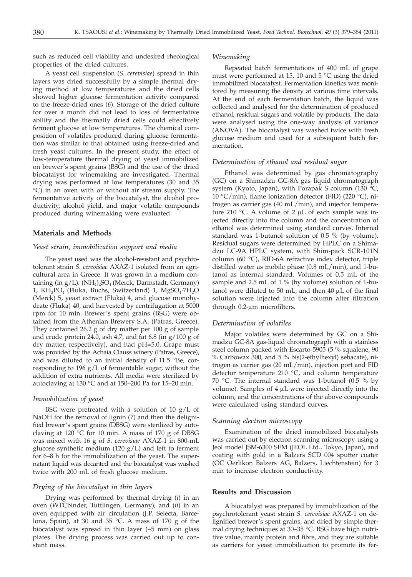such as reduced cell viability and undesired rheological properties of the dried cultures.

A yeast cell suspension (*S. cerevisiae*) spread in thin layers was dried successfully by a simple thermal drying method at low temperatures and the dried cells showed higher glucose fermentation activity compared to the freeze-dried ones (*6*). Storage of the dried culture for over a month did not lead to loss of fermentative ability and the thermally dried cells could effectively ferment glucose at low temperatures. The chemical composition of volatiles produced during glucose fermentation was similar to that obtained using freeze-dried and fresh yeast cultures. In the present study, the effect of low-temperature thermal drying of yeast immobilized on brewer's spent grains (BSG) and the use of the dried biocatalyst for winemaking are investigated. Thermal drying was performed at low temperatures (30 and 35 °C) in an oven with or without air stream supply. The fermentative activity of the biocatalyst, the alcohol productivity, alcohol yield, and major volatile compounds produced during winemaking were evaluated.

## **Materials and Methods**

#### *Yeast strain, immobilization support and media*

The yeast used was the alcohol-resistant and psychrotolerant strain *S. cerevisiae* AXAZ-1 isolated from an agricultural area in Greece. It was grown in a medium containing (in  $g/L$ ): (NH<sub>4</sub>)<sub>2</sub>SO<sub>4</sub> (Merck, Darmstadt, Germany) 1,  $KH_2PO_4$  (Fluka, Buchs, Switzerland) 1,  $MgSO_4·7H_2O$ (Merck) 5, yeast extract (Fluka) 4, and glucose monohydrate (Fluka) 40, and harvested by centrifugation at 5000 rpm for 10 min. Brewer's spent grains (BSG) were obtained from the Athenian Brewery S.A. (Patras, Greece). They contained 26.2 g of dry matter per 100 g of sample and crude protein 24.0, ash 4.7, and fat 6.8 (in  $g/100 g$  of dry matter, respectively), and had pH=5.0. Grape must was provided by the Achaia Clauss winery (Patras, Greece), and was diluted to an initial density of 11.5 °Be, corresponding to 196 g/L of fermentable sugar, without the addition of extra nutrients. All media were sterilized by autoclaving at 130 °C and at 150–200 Pa for 15–20 min.

#### *Immobilization of yeast*

BSG were pretreated with a solution of 10  $g/L$  of NaOH for the removal of lignin (*7*) and then the delignified brewer's spent grains (DBSG) were sterilized by autoclaving at 120 °C for 10 min. A mass of 170 g of DBSG was mixed with 16 g of *S. cerevisiae* AXAZ-1 in 800-mL glucose synthetic medium (120 g/L) and left to ferment for 6–8 h for the immobilization of the yeast. The supernatant liquid was decanted and the biocatalyst was washed twice with 200 mL of fresh glucose medium.

## *Drying of the biocatalyst in thin layers*

Drying was performed by thermal drying (*i*) in an oven (WTCbinder, Tuttlingen, Germany), and (*ii*) in an oven equipped with air circulation (J.P. Selecta, Barcelona, Spain), at 30 and 35 °C. A mass of 170 g of the biocatalyst was spread in thin layer  $(-5 \text{ mm})$  on glass plates. The drying process was carried out up to constant mass.

## *Winemaking*

Repeated batch fermentations of 400 mL of grape must were performed at 15, 10 and  $5^{\degree}C$  using the dried immobilized biocatalyst. Fermentation kinetics was monitored by measuring the density at various time intervals. At the end of each fermentation batch, the liquid was collected and analysed for the determination of produced ethanol, residual sugars and volatile by-products. The data were analysed using the one-way analysis of variance (ANOVA). The biocatalyst was washed twice with fresh glucose medium and used for a subsequent batch fermentation.

## *Determination of ethanol and residual sugar*

Ethanol was determined by gas chromatography (GC) on a Shimadzu GC-8A gas liquid chromatograph system (Kyoto, Japan), with Porapak S column (130 °C, 10 °C/min), flame ionization detector (FID) (220 °C), nitrogen as carrier gas (40 mL/min), and injector temperature 210 °C. A volume of 2  $\mu$ L of each sample was injected directly into the column and the concentration of ethanol was determined using standard curves. Internal standard was 1-butanol solution of 0.5 % (by volume). Residual sugars were determined by HPLC on a Shimadzu LC-9A HPLC system, with Shim-pack SCR-101N column (60 °C), RID-6A refractive index detector, triple distilled water as mobile phase (0.8 mL/min), and 1-butanol as internal standard. Volumes of 0.5 mL of the sample and 2.5 mL of 1 % (by volume) solution of 1-butanol were diluted to 50 mL, and then 40  $\mu$ L of the final solution were injected into the column after filtration through 0.2-um microfilters.

## *Determination of volatiles*

Major volatiles were determined by GC on a Shimadzu GC-8A gas-liquid chromatograph with a stainless steel column packed with Escarto-5905 (5 % squalene, 90 % Carbowax 300, and 5 % bis(2-ethylhexyl) sebacate), nitrogen as carrier gas (20 mL/min), injection port and FID detector temperature 210 °C, and column temperature 70 °C. The internal standard was 1-butanol (0.5 % by volume). Samples of  $4 \mu L$  were injected directly into the column, and the concentrations of the above compounds were calculated using standard curves.

#### *Scanning electron microscopy*

Examination of the dried immobilized biocatalysts was carried out by electron scanning microscopy using a Jeol model JSM-6300 SEM (JEOL Ltd., Tokyo, Japan), and coating with gold in a Balzers SCD 004 sputter coater (OC Oerlikon Balzers AG, Balzers, Liechtenstein) for 3 min to increase electron conductivity.

#### **Results and Discussion**

A biocatalyst was prepared by immobilization of the psychrotolerant yeast strain *S. cerevisiae* AXAZ-1 on delignified brewer's spent grains, and dried by simple thermal drying techniques at 30–35 °C. BSG have high nutritive value, mainly protein and fibre, and they are suitable as carriers for yeast immobilization to promote its fer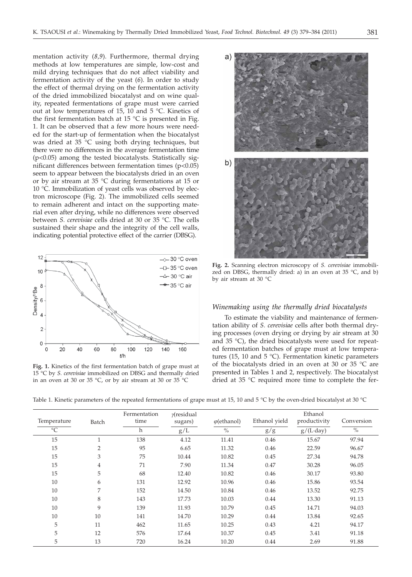mentation activity (*8,9*). Furthermore, thermal drying methods at low temperatures are simple, low-cost and mild drying techniques that do not affect viability and fermentation activity of the yeast (*6*). In order to study the effect of thermal drying on the fermentation activity of the dried immobilized biocatalyst and on wine quality, repeated fermentations of grape must were carried out at low temperatures of 15, 10 and 5 °C. Kinetics of the first fermentation batch at 15  $^{\circ}$ C is presented in Fig. 1. It can be observed that a few more hours were needed for the start-up of fermentation when the biocatalyst was dried at 35 °C using both drying techniques, but there were no differences in the average fermentation time (p<0.05) among the tested biocatalysts. Statistically significant differences between fermentation times (p<0.05) seem to appear between the biocatalysts dried in an oven or by air stream at 35 °C during fermentations at 15 or 10 °C. Immobilization of yeast cells was observed by electron microscope (Fig. 2). The immobilized cells seemed to remain adherent and intact on the supporting material even after drying, while no differences were observed between *S. cerevisiae* cells dried at 30 or 35 °C. The cells sustained their shape and the integrity of the cell walls, indicating potential protective effect of the carrier (DBSG).



**Fig. 1.** Kinetics of the first fermentation batch of grape must at 15 °C by *S. cerevisiae* immobilized on DBSG and thermally dried in an oven at 30 or 35 °C, or by air stream at 30 or 35 °C



**Fig. 2.** Scanning electron microscopy of *S. cerevisiae* immobilized on DBSG, thermally dried: a) in an oven at 35 °C, and b) by air stream at 30 °C

## *Winemaking using the thermally dried biocatalysts*

To estimate the viability and maintenance of fermentation ability of *S. cerevisiae* cells after both thermal drying processes (oven drying or drying by air stream at 30 and 35 °C), the dried biocatalysts were used for repeated fermentation batches of grape must at low temperatures (15, 10 and 5 °C). Fermentation kinetic parameters of the biocatalysts dried in an oven at 30 or 35 °C are presented in Tables 1 and 2, respectively. The biocatalyst dried at 35 °C required more time to complete the fer-

Table 1. Kinetic parameters of the repeated fermentations of grape must at 15, 10 and 5 °C by the oven-dried biocatalyst at 30 °C

| Temperature | Batch          | Fermentation<br>time | $\gamma$ residual<br>sugars) | $\varphi$ (ethanol) | Ethanol yield | Ethanol<br>productivity | Conversion |
|-------------|----------------|----------------------|------------------------------|---------------------|---------------|-------------------------|------------|
| $^{\circ}C$ |                | h                    | g/L                          | $\%$                | g/g           | $g/(L \cdot day)$       | $\%$       |
| 15          | $\mathbf{1}$   | 138                  | 4.12                         | 11.41               | 0.46          | 15.67                   | 97.94      |
| 15          | $\overline{2}$ | 95                   | 6.65                         | 11.32               | 0.46          | 22.59                   | 96.67      |
| 15          | 3              | 75                   | 10.44                        | 10.82               | 0.45          | 27.34                   | 94.78      |
| 15          | $\overline{4}$ | 71                   | 7.90                         | 11.34               | 0.47          | 30.28                   | 96.05      |
| 15          | 5              | 68                   | 12.40                        | 10.82               | 0.46          | 30.17                   | 93.80      |
| 10          | 6              | 131                  | 12.92                        | 10.96               | 0.46          | 15.86                   | 93.54      |
| 10          | 7              | 152                  | 14.50                        | 10.84               | 0.46          | 13.52                   | 92.75      |
| 10          | 8              | 143                  | 17.73                        | 10.03               | 0.44          | 13.30                   | 91.13      |
| 10          | 9              | 139                  | 11.93                        | 10.79               | 0.45          | 14.71                   | 94.03      |
| 10          | 10             | 141                  | 14.70                        | 10.29               | 0.44          | 13.84                   | 92.65      |
| 5           | 11             | 462                  | 11.65                        | 10.25               | 0.43          | 4.21                    | 94.17      |
| 5           | 12             | 576                  | 17.64                        | 10.37               | 0.45          | 3.41                    | 91.18      |
| 5           | 13             | 720                  | 16.24                        | 10.20               | 0.44          | 2.69                    | 91.88      |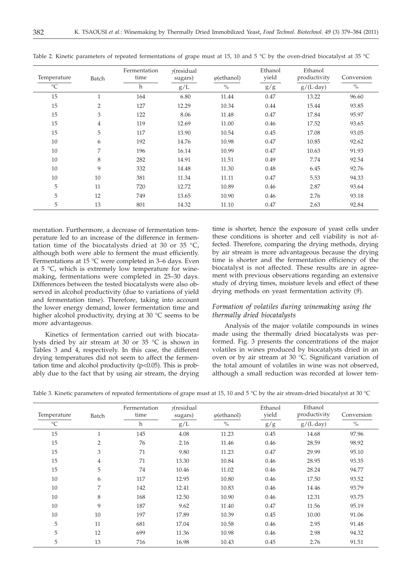| Temperature     | Batch          | Fermentation<br>time | $\nu$ residual<br>sugars) | $\varphi$ (ethanol) | Ethanol<br>yield | Ethanol<br>productivity | Conversion    |
|-----------------|----------------|----------------------|---------------------------|---------------------|------------------|-------------------------|---------------|
| $\rm ^{\circ}C$ |                | h                    | g/L                       | $\%$                | g/g              | $g/(L \cdot day)$       | $\frac{0}{0}$ |
| 15              | $\mathbf{1}$   | 164                  | 6.80                      | 11.44               | 0.47             | 13.22                   | 96.60         |
| 15              | $\overline{2}$ | 127                  | 12.29                     | 10.34               | 0.44             | 15.44                   | 93.85         |
| 15              | 3              | 122                  | 8.06                      | 11.48               | 0.47             | 17.84                   | 95.97         |
| 15              | $\overline{4}$ | 119                  | 12.69                     | 11.00               | 0.46             | 17.52                   | 93.65         |
| 15              | 5              | 117                  | 13.90                     | 10.54               | 0.45             | 17.08                   | 93.05         |
| 10              | 6              | 192                  | 14.76                     | 10.98               | 0.47             | 10.85                   | 92.62         |
| 10              | 7              | 196                  | 16.14                     | 10.99               | 0.47             | 10.63                   | 91.93         |
| 10              | 8              | 282                  | 14.91                     | 11.51               | 0.49             | 7.74                    | 92.54         |
| 10              | 9              | 332                  | 14.48                     | 11.30               | 0.48             | 6.45                    | 92.76         |
| 10              | 10             | 381                  | 11.34                     | 11.11               | 0.47             | 5.53                    | 94.33         |
| 5               | 11             | 720                  | 12.72                     | 10.89               | 0.46             | 2.87                    | 93.64         |
| 5               | 12             | 749                  | 13.65                     | 10.90               | 0.46             | 2.76                    | 93.18         |
| 5               | 13             | 801                  | 14.32                     | 11.10               | 0.47             | 2.63                    | 92.84         |

Table 2. Kinetic parameters of repeated fermentations of grape must at 15, 10 and 5 °C by the oven-dried biocatalyst at 35 °C

mentation. Furthermore, a decrease of fermentation temperature led to an increase of the difference in fermentation time of the biocatalysts dried at 30 or 35 °C, although both were able to ferment the must efficiently. Fermentations at 15 °C were completed in 3–6 days. Even at  $5 \, \degree$ C, which is extremely low temperature for winemaking, fermentations were completed in 25–30 days. Differences between the tested biocatalysts were also observed in alcohol productivity (due to variations of yield and fermentation time). Therefore, taking into account the lower energy demand, lower fermentation time and higher alcohol productivity, drying at 30 °C seems to be more advantageous.

Kinetics of fermentation carried out with biocatalysts dried by air stream at 30 or 35 °C is shown in Tables 3 and 4, respectively. In this case, the different drying temperatures did not seem to affect the fermentation time and alcohol productivity ( $p<0.05$ ). This is probably due to the fact that by using air stream, the drying

time is shorter, hence the exposure of yeast cells under these conditions is shorter and cell viability is not affected. Therefore, comparing the drying methods, drying by air stream is more advantageous because the drying time is shorter and the fermentation efficiency of the biocatalyst is not affected. These results are in agreement with previous observations regarding an extensive study of drying times, moisture levels and effect of these drying methods on yeast fermentation activity (*9*).

## *Formation of volatiles during winemaking using the thermally dried biocatalysts*

Analysis of the major volatile compounds in wines made using the thermally dried biocatalysts was performed. Fig. 3 presents the concentrations of the major volatiles in wines produced by biocatalysts dried in an oven or by air stream at 30 °C. Significant variation of the total amount of volatiles in wine was not observed, although a small reduction was recorded at lower tem-

| Temperature     | Batch          | Fermentation<br>time | $\gamma$ residual<br>sugars) | $\varphi$ (ethanol) | Ethanol<br>yield | Ethanol<br>productivity | Conversion    |
|-----------------|----------------|----------------------|------------------------------|---------------------|------------------|-------------------------|---------------|
| $\rm ^{\circ}C$ |                | h                    | g/L                          | $\frac{0}{0}$       | g/g              | $g/(L \cdot day)$       | $\frac{0}{0}$ |
| 15              | $\mathbf{1}$   | 145                  | 4.08                         | 11.23               | 0.45             | 14.68                   | 97.96         |
| 15              | $\overline{2}$ | 76                   | 2.16                         | 11.46               | 0.46             | 28.59                   | 98.92         |
| 15              | 3              | 71                   | 9.80                         | 11.23               | 0.47             | 29.99                   | 95.10         |
| 15              | $\overline{4}$ | 71                   | 13.30                        | 10.84               | 0.46             | 28.95                   | 93.35         |
| 15              | 5              | 74                   | 10.46                        | 11.02               | 0.46             | 28.24                   | 94.77         |
| 10              | 6              | 117                  | 12.95                        | 10.80               | 0.46             | 17.50                   | 93.52         |
| 10              | 7              | 142                  | 12.41                        | 10.83               | 0.46             | 14.46                   | 93.79         |
| 10              | 8              | 168                  | 12.50                        | 10.90               | 0.46             | 12.31                   | 93.75         |
| 10              | 9              | 187                  | 9.62                         | 11.40               | 0.47             | 11.56                   | 95.19         |
| 10              | 10             | 197                  | 17.89                        | 10.39               | 0.45             | 10.00                   | 91.06         |
| 5               | 11             | 681                  | 17.04                        | 10.58               | 0.46             | 2.95                    | 91.48         |
| 5               | 12             | 699                  | 11.36                        | 10.98               | 0.46             | 2.98                    | 94.32         |
| 5               | 13             | 716                  | 16.98                        | 10.43               | 0.45             | 2.76                    | 91.51         |

Table 3. Kinetic parameters of repeated fermentations of grape must at 15, 10 and 5 °C by the air stream-dried biocatalyst at 30 °C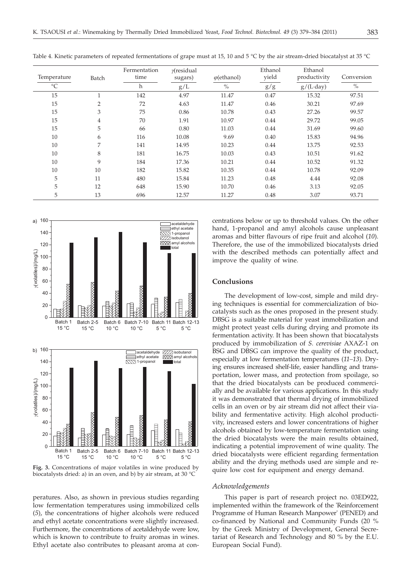| Temperature     | Batch          | Fermentation<br>time | $\gamma$ residual<br>sugars) | $\varphi$ (ethanol) | Ethanol<br>yield | Ethanol<br>productivity | Conversion |
|-----------------|----------------|----------------------|------------------------------|---------------------|------------------|-------------------------|------------|
| $\rm ^{\circ}C$ |                | h                    | g/L                          | $\%$                | g/g              | $g/(L \cdot day)$       | $\%$       |
| 15              | и              | 142                  | 4.97                         | 11.47               | 0.47             | 15.32                   | 97.51      |
| 15              | $\overline{2}$ | 72                   | 4.63                         | 11.47               | 0.46             | 30.21                   | 97.69      |
| 15              | 3              | 75                   | 0.86                         | 10.78               | 0.43             | 27.26                   | 99.57      |
| 15              | $\overline{4}$ | 70                   | 1.91                         | 10.97               | 0.44             | 29.72                   | 99.05      |
| 15              | 5              | 66                   | 0.80                         | 11.03               | 0.44             | 31.69                   | 99.60      |
| 10              | 6              | 116                  | 10.08                        | 9.69                | 0.40             | 15.83                   | 94.96      |
| 10              | 7              | 141                  | 14.95                        | 10.23               | 0.44             | 13.75                   | 92.53      |
| 10              | 8              | 181                  | 16.75                        | 10.03               | 0.43             | 10.51                   | 91.62      |
| 10              | 9              | 184                  | 17.36                        | 10.21               | 0.44             | 10.52                   | 91.32      |
| 10              | 10             | 182                  | 15.82                        | 10.35               | 0.44             | 10.78                   | 92.09      |
| 5               | 11             | 480                  | 15.84                        | 11.23               | 0.48             | 4.44                    | 92.08      |
| 5               | 12             | 648                  | 15.90                        | 10.70               | 0.46             | 3.13                    | 92.05      |
| 5               | 13             | 696                  | 12.57                        | 11.27               | 0.48             | 3.07                    | 93.71      |



**Fig. 3.** Concentrations of major volatiles in wine produced by biocatalysts dried: a) in an oven, and b) by air stream, at 30 °C

peratures. Also, as shown in previous studies regarding low fermentation temperatures using immobilized cells (*5*), the concentrations of higher alcohols were reduced and ethyl acetate concentrations were slightly increased. Furthermore, the concentrations of acetaldehyde were low, which is known to contribute to fruity aromas in wines. Ethyl acetate also contributes to pleasant aroma at con-

centrations below or up to threshold values. On the other hand, 1-propanol and amyl alcohols cause unpleasant aromas and bitter flavours of ripe fruit and alcohol (*10*). Therefore, the use of the immobilized biocatalysts dried with the described methods can potentially affect and improve the quality of wine.

## **Conclusions**

The development of low-cost, simple and mild drying techniques is essential for commercialization of biocatalysts such as the ones proposed in the present study. DBSG is a suitable material for yeast immobilization and might protect yeast cells during drying and promote its fermentation activity. It has been shown that biocatalysts produced by immobilization of *S. cerevisiae* AXAZ-1 on BSG and DBSG can improve the quality of the product, especially at low fermentation temperatures (*11–13*). Drying ensures increased shelf-life, easier handling and transportation, lower mass, and protection from spoilage, so that the dried biocatalysts can be produced commercially and be available for various applications. In this study it was demonstrated that thermal drying of immobilized cells in an oven or by air stream did not affect their viability and fermentative activity. High alcohol productivity, increased esters and lower concentrations of higher alcohols obtained by low-temperature fermentation using the dried biocatalysts were the main results obtained, indicating a potential improvement of wine quality. The dried biocatalysts were efficient regarding fermentation ability and the drying methods used are simple and require low cost for equipment and energy demand.

#### *Acknowledgements*

This paper is part of research project no. 03ED922, implemented within the framework of the 'Reinforcement Programme of Human Research Manpower' (PENED) and co-financed by National and Community Funds (20 % by the Greek Ministry of Development, General Secretariat of Research and Technology and 80 % by the E.U. European Social Fund).

Table 4. Kinetic parameters of repeated fermentations of grape must at 15, 10 and 5 °C by the air stream-dried biocatalyst at 35 °C